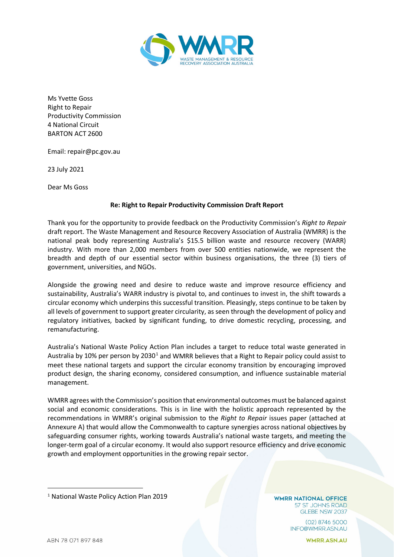

Ms Yvette Goss Right to Repair Productivity Commission 4 National Circuit BARTON ACT 2600

Email: repair@pc.gov.au

23 July 2021

Dear Ms Goss

# **Re: Right to Repair Productivity Commission Draft Report**

Thank you for the opportunity to provide feedback on the Productivity Commission's *Right to Repair* draft report. The Waste Management and Resource Recovery Association of Australia (WMRR) is the national peak body representing Australia's \$15.5 billion waste and resource recovery (WARR) industry. With more than 2,000 members from over 500 entities nationwide, we represent the breadth and depth of our essential sector within business organisations, the three (3) tiers of government, universities, and NGOs.

Alongside the growing need and desire to reduce waste and improve resource efficiency and sustainability, Australia's WARR industry is pivotal to, and continues to invest in, the shift towards a circular economy which underpins this successful transition. Pleasingly, steps continue to be taken by all levels of government to support greater circularity, as seen through the development of policy and regulatory initiatives, backed by significant funding, to drive domestic recycling, processing, and remanufacturing.

Australia's National Waste Policy Action Plan includes a target to reduce total waste generated in Australia by [1](#page-0-0)0% per person by 2030<sup>1</sup> and WMRR believes that a Right to Repair policy could assist to meet these national targets and support the circular economy transition by encouraging improved product design, the sharing economy, considered consumption, and influence sustainable material management.

WMRR agrees with the Commission's position that environmental outcomes must be balanced against social and economic considerations. This is in line with the holistic approach represented by the recommendations in WMRR's original submission to the *Right to Repair* issues paper (attached at Annexure A) that would allow the Commonwealth to capture synergies across national objectives by safeguarding consumer rights, working towards Australia's national waste targets, and meeting the longer-term goal of a circular economy. It would also support resource efficiency and drive economic growth and employment opportunities in the growing repair sector.

**WMRR NATIONAL OFFICE** 57 ST JOHNS ROAD GLEBE NSW 2037

> $(02)$  8746 5000 INFO@WMRR.ASN.AU

<span id="page-0-0"></span><sup>1</sup> National Waste Policy Action Plan 2019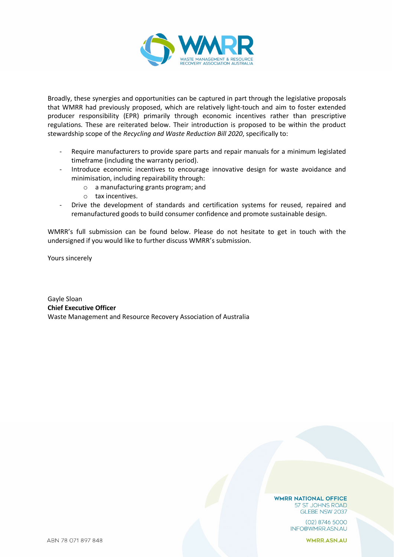

Broadly, these synergies and opportunities can be captured in part through the legislative proposals that WMRR had previously proposed, which are relatively light-touch and aim to foster extended producer responsibility (EPR) primarily through economic incentives rather than prescriptive regulations. These are reiterated below. Their introduction is proposed to be within the product stewardship scope of the *Recycling and Waste Reduction Bill 2020*, specifically to:

- Require manufacturers to provide spare parts and repair manuals for a minimum legislated timeframe (including the warranty period).
- Introduce economic incentives to encourage innovative design for waste avoidance and minimisation, including repairability through:
	- o a manufacturing grants program; and
	- o tax incentives.
- Drive the development of standards and certification systems for reused, repaired and remanufactured goods to build consumer confidence and promote sustainable design.

WMRR's full submission can be found below. Please do not hesitate to get in touch with the undersigned if you would like to further discuss WMRR's submission.

Yours sincerely

Gayle Sloan **Chief Executive Officer** Waste Management and Resource Recovery Association of Australia

#### **WMRR NATIONAL OFFICE** 57 ST JOHNS ROAD GLEBE NSW 2037

 $(02)$  8746 5000 INFO@WMRR.ASN.AU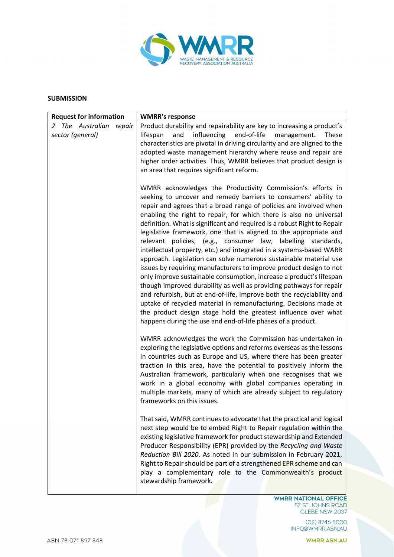

### **SUBMISSION**

| <b>Request for information</b>                 | <b>WMRR's response</b>                                                                                                                                                                                                                                                                                                                                                                                                                                                                                                                                                                                                                                                                                                                                                                                                                                                                                                                                                                                                                                                                                                                    |
|------------------------------------------------|-------------------------------------------------------------------------------------------------------------------------------------------------------------------------------------------------------------------------------------------------------------------------------------------------------------------------------------------------------------------------------------------------------------------------------------------------------------------------------------------------------------------------------------------------------------------------------------------------------------------------------------------------------------------------------------------------------------------------------------------------------------------------------------------------------------------------------------------------------------------------------------------------------------------------------------------------------------------------------------------------------------------------------------------------------------------------------------------------------------------------------------------|
| 2 The Australian<br>repair<br>sector (general) | Product durability and repairability are key to increasing a product's<br>lifespan<br>influencing<br>end-of-life<br>and<br>management.<br><b>These</b><br>characteristics are pivotal in driving circularity and are aligned to the<br>adopted waste management hierarchy where reuse and repair are<br>higher order activities. Thus, WMRR believes that product design is<br>an area that requires significant reform.                                                                                                                                                                                                                                                                                                                                                                                                                                                                                                                                                                                                                                                                                                                  |
|                                                | WMRR acknowledges the Productivity Commission's efforts in<br>seeking to uncover and remedy barriers to consumers' ability to<br>repair and agrees that a broad range of policies are involved when<br>enabling the right to repair, for which there is also no universal<br>definition. What is significant and required is a robust Right to Repair<br>legislative framework, one that is aligned to the appropriate and<br>relevant policies, (e.g., consumer law, labelling standards,<br>intellectual property, etc.) and integrated in a systems-based WARR<br>approach. Legislation can solve numerous sustainable material use<br>issues by requiring manufacturers to improve product design to not<br>only improve sustainable consumption, increase a product's lifespan<br>though improved durability as well as providing pathways for repair<br>and refurbish, but at end-of-life, improve both the recyclability and<br>uptake of recycled material in remanufacturing. Decisions made at<br>the product design stage hold the greatest influence over what<br>happens during the use and end-of-life phases of a product. |
|                                                | WMRR acknowledges the work the Commission has undertaken in<br>exploring the legislative options and reforms overseas as the lessons<br>in countries such as Europe and US, where there has been greater<br>traction in this area, have the potential to positively inform the<br>Australian framework, particularly when one recognises that we<br>work in a global economy with global companies operating in<br>multiple markets, many of which are already subject to regulatory<br>frameworks on this issues.                                                                                                                                                                                                                                                                                                                                                                                                                                                                                                                                                                                                                        |
|                                                | That said, WMRR continues to advocate that the practical and logical<br>next step would be to embed Right to Repair regulation within the<br>existing legislative framework for product stewardship and Extended<br>Producer Responsibility (EPR) provided by the Recycling and Waste<br>Reduction Bill 2020. As noted in our submission in February 2021,<br>Right to Repair should be part of a strengthened EPR scheme and can<br>play a complementary role to the Commonwealth's product<br>stewardship framework.                                                                                                                                                                                                                                                                                                                                                                                                                                                                                                                                                                                                                    |

WMRR NATIONAL OFFICE 57 ST JOHNS ROAD<br>GLEBE NSW 2037

> $(02)$  8746 5000 INFO@WMRR.ASN.AU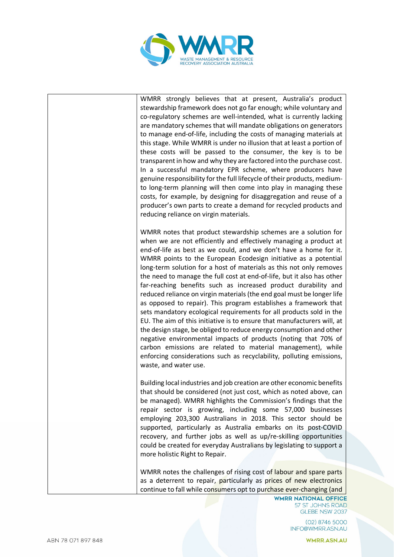

WMRR strongly believes that at present, Australia's product stewardship framework does not go far enough; while voluntary and co-regulatory schemes are well-intended, what is currently lacking are mandatory schemes that will mandate obligations on generators to manage end-of-life, including the costs of managing materials at this stage. While WMRR is under no illusion that at least a portion of these costs will be passed to the consumer, the key is to be transparent in how and why they are factored into the purchase cost. In a successful mandatory EPR scheme, where producers have genuine responsibility for the full lifecycle of their products, mediumto long-term planning will then come into play in managing these costs, for example, by designing for disaggregation and reuse of a producer's own parts to create a demand for recycled products and reducing reliance on virgin materials.

WMRR notes that product stewardship schemes are a solution for when we are not efficiently and effectively managing a product at end-of-life as best as we could, and we don't have a home for it. WMRR points to the European Ecodesign initiative as a potential long-term solution for a host of materials as this not only removes the need to manage the full cost at end-of-life, but it also has other far-reaching benefits such as increased product durability and reduced reliance on virgin materials(the end goal must be longer life as opposed to repair). This program establishes a framework that sets mandatory ecological requirements for all products sold in the EU. The aim of this initiative is to ensure that manufacturers will, at the design stage, be obliged to reduce energy consumption and other negative environmental impacts of products (noting that 70% of carbon emissions are related to material management), while enforcing considerations such as recyclability, polluting emissions, waste, and water use.

Building local industries and job creation are other economic benefits that should be considered (not just cost, which as noted above, can be managed). WMRR highlights the Commission's findings that the repair sector is growing, including some 57,000 businesses employing 203,300 Australians in 2018. This sector should be supported, particularly as Australia embarks on its post-COVID recovery, and further jobs as well as up/re-skilling opportunities could be created for everyday Australians by legislating to support a more holistic Right to Repair.

WMRR notes the challenges of rising cost of labour and spare parts as a deterrent to repair, particularly as prices of new electronics continue to fall while consumers opt to purchase ever-changing (and

**WMRR NATIONAL OFFICE** 57 ST JOHNS ROAD GLEBE NSW 2037

> $(02)$  8746 5000 INFO@WMRR.ASN.AU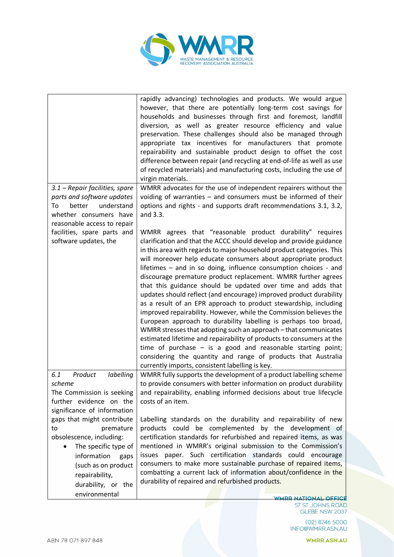

|                                                                                                                                                           | rapidly advancing) technologies and products. We would argue<br>however, that there are potentially long-term cost savings for<br>households and businesses through first and foremost, landfill<br>diversion, as well as greater resource efficiency and value<br>preservation. These challenges should also be managed through<br>appropriate tax incentives for manufacturers that promote<br>repairability and sustainable product design to offset the cost<br>difference between repair (and recycling at end-of-life as well as use<br>of recycled materials) and manufacturing costs, including the use of<br>virgin materials.                                                                                                                                                                                                                                                                                                                                                                                                                                                              |
|-----------------------------------------------------------------------------------------------------------------------------------------------------------|------------------------------------------------------------------------------------------------------------------------------------------------------------------------------------------------------------------------------------------------------------------------------------------------------------------------------------------------------------------------------------------------------------------------------------------------------------------------------------------------------------------------------------------------------------------------------------------------------------------------------------------------------------------------------------------------------------------------------------------------------------------------------------------------------------------------------------------------------------------------------------------------------------------------------------------------------------------------------------------------------------------------------------------------------------------------------------------------------|
| 3.1 - Repair facilities, spare                                                                                                                            | WMRR advocates for the use of independent repairers without the                                                                                                                                                                                                                                                                                                                                                                                                                                                                                                                                                                                                                                                                                                                                                                                                                                                                                                                                                                                                                                      |
| parts and software updates<br>understand<br>To<br>better<br>whether consumers have<br>reasonable access to repair                                         | voiding of warranties $-$ and consumers must be informed of their<br>options and rights - and supports draft recommendations 3.1, 3.2,<br>and 3.3.                                                                                                                                                                                                                                                                                                                                                                                                                                                                                                                                                                                                                                                                                                                                                                                                                                                                                                                                                   |
| facilities, spare parts and<br>software updates, the                                                                                                      | WMRR agrees that "reasonable product durability" requires<br>clarification and that the ACCC should develop and provide guidance<br>in this area with regards to major household product categories. This<br>will moreover help educate consumers about appropriate product<br>lifetimes – and in so doing, influence consumption choices - and<br>discourage premature product replacement. WMRR further agrees<br>that this guidance should be updated over time and adds that<br>updates should reflect (and encourage) improved product durability<br>as a result of an EPR approach to product stewardship, including<br>improved repairability. However, while the Commission believes the<br>European approach to durability labelling is perhaps too broad,<br>WMRR stresses that adopting such an approach - that communicates<br>estimated lifetime and repairability of products to consumers at the<br>time of purchase $-$ is a good and reasonable starting point;<br>considering the quantity and range of products that Australia<br>currently imports, consistent labelling is key. |
| 6.1<br>Product<br>labelling<br>scheme<br>The Commission is seeking<br>further evidence on the                                                             | WMRR fully supports the development of a product labelling scheme<br>to provide consumers with better information on product durability<br>and repairability, enabling informed decisions about true lifecycle<br>costs of an item.                                                                                                                                                                                                                                                                                                                                                                                                                                                                                                                                                                                                                                                                                                                                                                                                                                                                  |
| significance of information                                                                                                                               |                                                                                                                                                                                                                                                                                                                                                                                                                                                                                                                                                                                                                                                                                                                                                                                                                                                                                                                                                                                                                                                                                                      |
| gaps that might contribute                                                                                                                                | Labelling standards on the durability and repairability of new                                                                                                                                                                                                                                                                                                                                                                                                                                                                                                                                                                                                                                                                                                                                                                                                                                                                                                                                                                                                                                       |
| to<br>premature<br>obsolescence, including:<br>The specific type of<br>information<br>gaps<br>(such as on product<br>repairability,<br>durability, or the | products could be complemented by the development of<br>certification standards for refurbished and repaired items, as was<br>mentioned in WMRR's original submission to the Commission's<br>issues paper. Such certification standards could encourage<br>consumers to make more sustainable purchase of repaired items,<br>combatting a current lack of information about/confidence in the<br>durability of repaired and refurbished products.                                                                                                                                                                                                                                                                                                                                                                                                                                                                                                                                                                                                                                                    |
| environmental                                                                                                                                             | <b>WAIDD MATIONAL OCCICE</b>                                                                                                                                                                                                                                                                                                                                                                                                                                                                                                                                                                                                                                                                                                                                                                                                                                                                                                                                                                                                                                                                         |

57 ST JOHNS ROAD<br>GLEBE NSW 2037

02) 8746 5000<br>INFO@WMRR.ASN.AU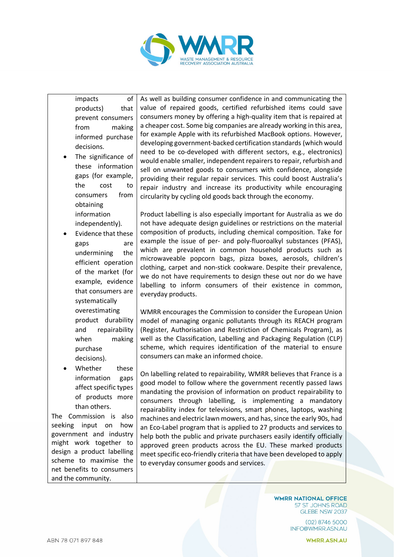

impacts of products) that prevent consumers from making informed purchase decisions.

- The significance of these information gaps (for example, the cost to consumers from obtaining information independently).
- Evidence that these gaps are undermining the efficient operation of the market (for example, evidence that consumers are systematically overestimating product durability and repairability when making purchase decisions).
- Whether these information gaps affect specific types of products more than others.

The Commission is also seeking input on how government and industry might work together to design a product labelling scheme to maximise the net benefits to consumers and the community.

As well as building consumer confidence in and communicating the value of repaired goods, certified refurbished items could save consumers money by offering a high-quality item that is repaired at a cheaper cost. Some big companies are already working in this area, for example Apple with its refurbished MacBook options. However, developing government-backed certification standards (which would need to be co-developed with different sectors, e.g., electronics) would enable smaller, independent repairersto repair, refurbish and sell on unwanted goods to consumers with confidence, alongside providing their regular repair services. This could boost Australia's repair industry and increase its productivity while encouraging circularity by cycling old goods back through the economy.

Product labelling is also especially important for Australia as we do not have adequate design guidelines or restrictions on the material composition of products, including chemical composition. Take for example the issue of per- and poly-fluoroalkyl substances (PFAS), which are prevalent in common household products such as microwaveable popcorn bags, pizza boxes, aerosols, children's clothing, carpet and non-stick cookware. Despite their prevalence, we do not have requirements to design these out nor do we have labelling to inform consumers of their existence in common, everyday products.

WMRR encourages the Commission to consider the European Union model of managing organic pollutants through its REACH program (Register, Authorisation and Restriction of Chemicals Program), as well as the Classification, Labelling and Packaging Regulation (CLP) scheme, which requires identification of the material to ensure consumers can make an informed choice.

On labelling related to repairability, WMRR believes that France is a good model to follow where the government recently passed laws mandating the provision of information on product repairability to consumers through labelling, is implementing a mandatory repairability index for televisions, smart phones, laptops, washing machines and electric lawn mowers, and has, since the early 90s, had an Eco-Label program that is applied to 27 products and services to help both the public and private purchasers easily identify officially approved green products across the EU. These marked products meet specific eco-friendly criteria that have been developed to apply to everyday consumer goods and services.

> **WMRR NATIONAL OFFICE** 57 ST JOHNS ROAD GLEBE NSW 2037

> > $(02)$  8746 5000 INFO@WMRR.ASN.AU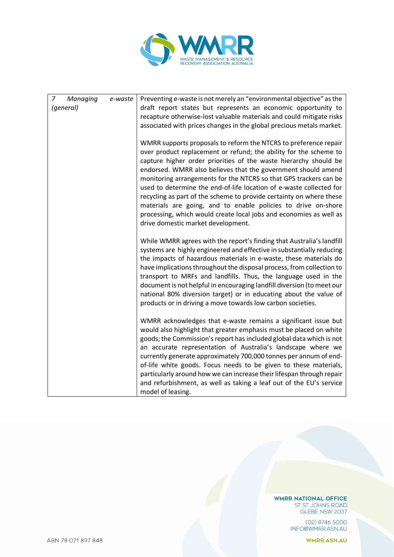

| $\overline{7}$<br>Managing<br>(general) | e-waste | Preventing e-waste is not merely an "environmental objective" as the<br>draft report states but represents an economic opportunity to<br>recapture otherwise-lost valuable materials and could mitigate risks<br>associated with prices changes in the global precious metals market.<br>WMRR supports proposals to reform the NTCRS to preference repair<br>over product replacement or refund; the ability for the scheme to                                                                                                                                                             |
|-----------------------------------------|---------|--------------------------------------------------------------------------------------------------------------------------------------------------------------------------------------------------------------------------------------------------------------------------------------------------------------------------------------------------------------------------------------------------------------------------------------------------------------------------------------------------------------------------------------------------------------------------------------------|
|                                         |         | capture higher order priorities of the waste hierarchy should be<br>endorsed. WMRR also believes that the government should amend<br>monitoring arrangements for the NTCRS so that GPS trackers can be<br>used to determine the end-of-life location of e-waste collected for<br>recycling as part of the scheme to provide certainty on where these<br>materials are going, and to enable policies to drive on-shore<br>processing, which would create local jobs and economies as well as<br>drive domestic market development.                                                          |
|                                         |         | While WMRR agrees with the report's finding that Australia's landfill<br>systems are highly engineered and effective in substantially reducing<br>the impacts of hazardous materials in e-waste, these materials do<br>have implications throughout the disposal process, from collection to<br>transport to MRFs and landfills. Thus, the language used in the<br>document is not helpful in encouraging landfill diversion (to meet our<br>national 80% diversion target) or in educating about the value of<br>products or in driving a move towards low carbon societies.              |
|                                         |         | WMRR acknowledges that e-waste remains a significant issue but<br>would also highlight that greater emphasis must be placed on white<br>goods; the Commission's report has included global data which is not<br>an accurate representation of Australia's landscape where we<br>currently generate approximately 700,000 tonnes per annum of end-<br>of-life white goods. Focus needs to be given to these materials,<br>particularly around how we can increase their lifespan through repair<br>and refurbishment, as well as taking a leaf out of the EU's service<br>model of leasing. |

**WMRR NATIONAL OFFICE** 57 ST JOHNS ROAD<br>GLEBE NSW 2037

02) 8746 5000<br>INFO@WMRR.ASN.AU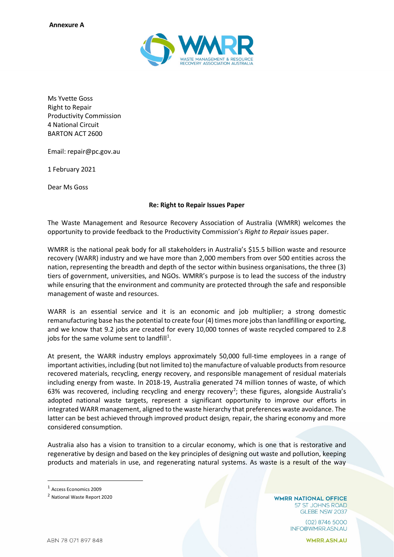

Ms Yvette Goss Right to Repair Productivity Commission 4 National Circuit BARTON ACT 2600

Email: repair@pc.gov.au

1 February 2021

Dear Ms Goss

# **Re: Right to Repair Issues Paper**

The Waste Management and Resource Recovery Association of Australia (WMRR) welcomes the opportunity to provide feedback to the Productivity Commission's *Right to Repair* issues paper.

WMRR is the national peak body for all stakeholders in Australia's \$15.5 billion waste and resource recovery (WARR) industry and we have more than 2,000 members from over 500 entities across the nation, representing the breadth and depth of the sector within business organisations, the three (3) tiers of government, universities, and NGOs. WMRR's purpose is to lead the success of the industry while ensuring that the environment and community are protected through the safe and responsible management of waste and resources.

WARR is an essential service and it is an economic and job multiplier; a strong domestic remanufacturing base has the potential to create four (4) times more jobs than landfilling or exporting, and we know that 9.2 jobs are created for every 10,000 tonnes of waste recycled compared to 2.8 jobs for the same volume sent to landfill<sup>1</sup>.

At present, the WARR industry employs approximately 50,000 full-time employees in a range of important activities, including (but not limited to) the manufacture of valuable products from resource recovered materials, recycling, energy recovery, and responsible management of residual materials including energy from waste. In 2018-19, Australia generated 74 million tonnes of waste, of which 63% was recovered, including recycling and energy recovery<sup>[2](#page-7-1)</sup>; these figures, alongside Australia's adopted national waste targets, represent a significant opportunity to improve our efforts in integrated WARR management, aligned to the waste hierarchy that preferences waste avoidance. The latter can be best achieved through improved product design, repair, the sharing economy and more considered consumption.

Australia also has a vision to transition to a circular economy, which is one that is restorative and regenerative by design and based on the key principles of designing out waste and pollution, keeping products and materials in use, and regenerating natural systems. As waste is a result of the way

<span id="page-7-0"></span><sup>1</sup> Access Economics 2009

**WMRR NATIONAL OFFICE** 57 ST JOHNS ROAD GLEBE NSW 2037

> $(02)$  8746 5000 INFO@WMRR.ASN.AU

<span id="page-7-1"></span><sup>2</sup> National Waste Report 2020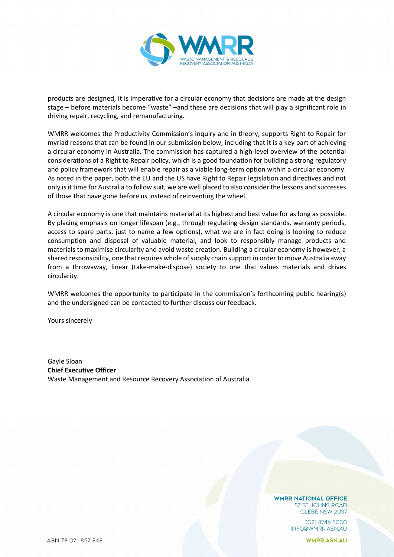

products are designed, it is imperative for a circular economy that decisions are made at the design stage – before materials become "waste" –and these are decisions that will play a significant role in driving repair, recycling, and remanufacturing.

WMRR welcomes the Productivity Commission's inquiry and in theory, supports Right to Repair for myriad reasons that can be found in our submission below, including that it is a key part of achieving a circular economy in Australia. The commission has captured a high-level overview of the potential considerations of a Right to Repair policy, which is a good foundation for building a strong regulatory and policy framework that will enable repair as a viable long-term option within a circular economy. As noted in the paper, both the EU and the US have Right to Repair legislation and directives and not only is it time for Australia to follow suit, we are well placed to also consider the lessons and successes of those that have gone before us instead of reinventing the wheel.

A circular economy is one that maintains material at its highest and best value for as long as possible. By placing emphasis on longer lifespan (e.g., through regulating design standards, warranty periods, access to spare parts, just to name a few options), what we are in fact doing is looking to reduce consumption and disposal of valuable material, and look to responsibly manage products and materials to maximise circularity and avoid waste creation. Building a circular economy is however, a shared responsibility, one that requires whole of supply chain support in order to move Australia away from a throwaway, linear (take-make-dispose) society to one that values materials and drives circularity.

WMRR welcomes the opportunity to participate in the commission's forthcoming public hearing(s) and the undersigned can be contacted to further discuss our feedback.

Yours sincerely

Gayle Sloan **Chief Executive Officer** Waste Management and Resource Recovery Association of Australia

> **WMRR NATIONAL OFFICE** 57 ST JOHNS ROAD GLEBE NSW 2037

> > $(02)$  8746 5000 INFO@WMRR.ASN.AU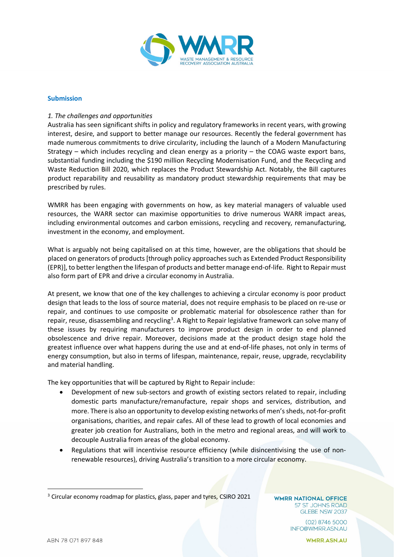

### **Submission**

## *1. The challenges and opportunities*

Australia has seen significant shifts in policy and regulatory frameworks in recent years, with growing interest, desire, and support to better manage our resources. Recently the federal government has made numerous commitments to drive circularity, including the launch of a Modern Manufacturing Strategy – which includes recycling and clean energy as a priority – the COAG waste export bans, substantial funding including the \$190 million Recycling Modernisation Fund, and the Recycling and Waste Reduction Bill 2020, which replaces the Product Stewardship Act. Notably, the Bill captures product reparability and reusability as mandatory product stewardship requirements that may be prescribed by rules.

WMRR has been engaging with governments on how, as key material managers of valuable used resources, the WARR sector can maximise opportunities to drive numerous WARR impact areas, including environmental outcomes and carbon emissions, recycling and recovery, remanufacturing, investment in the economy, and employment.

What is arguably not being capitalised on at this time, however, are the obligations that should be placed on generators of products [through policy approaches such as Extended Product Responsibility (EPR)], to better lengthen the lifespan of products and better manage end-of-life. Right to Repair must also form part of EPR and drive a circular economy in Australia.

At present, we know that one of the key challenges to achieving a circular economy is poor product design that leads to the loss of source material, does not require emphasis to be placed on re-use or repair, and continues to use composite or problematic material for obsolescence rather than for repair, reuse, disassembling and recycling<sup>[3](#page-9-0)</sup>. A Right to Repair legislative framework can solve many of these issues by requiring manufacturers to improve product design in order to end planned obsolescence and drive repair. Moreover, decisions made at the product design stage hold the greatest influence over what happens during the use and at end-of-life phases, not only in terms of energy consumption, but also in terms of lifespan, maintenance, repair, reuse, upgrade, recyclability and material handling.

The key opportunities that will be captured by Right to Repair include:

- Development of new sub-sectors and growth of existing sectors related to repair, including domestic parts manufacture/remanufacture, repair shops and services, distribution, and more. There is also an opportunity to develop existing networks of men's sheds, not-for-profit organisations, charities, and repair cafes. All of these lead to growth of local economies and greater job creation for Australians, both in the metro and regional areas, and will work to decouple Australia from areas of the global economy.
- Regulations that will incentivise resource efficiency (while disincentivising the use of nonrenewable resources), driving Australia's transition to a more circular economy.

**WMRR NATIONAL OFFICE** 57 ST JOHNS ROAD GLEBE NSW 2037

> $(02)$  8746 5000 INFO@WMRR.ASN.AU

<span id="page-9-0"></span><sup>&</sup>lt;sup>3</sup> Circular economy roadmap for plastics, glass, paper and tyres, CSIRO 2021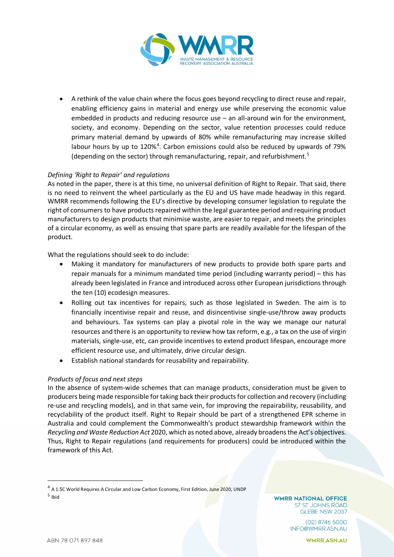

• A rethink of the value chain where the focus goes beyond recycling to direct reuse and repair, enabling efficiency gains in material and energy use while preserving the economic value embedded in products and reducing resource use – an all-around win for the environment, society, and economy. Depending on the sector, value retention processes could reduce primary material demand by upwards of 80% while remanufacturing may increase skilled labour hours by up to  $120\%$ <sup>[4](#page-10-0)</sup>. Carbon emissions could also be reduced by upwards of 79% (depending on the sector) through remanufacturing, repair, and refurbishment.<sup>[5](#page-10-1)</sup>

# *Defining 'Right to Repair' and regulations*

As noted in the paper, there is at this time, no universal definition of Right to Repair. That said, there is no need to reinvent the wheel particularly as the EU and US have made headway in this regard. WMRR recommends following the EU's directive by developing consumer legislation to regulate the right of consumers to have products repaired within the legal guarantee period and requiring product manufacturers to design products that minimise waste, are easier to repair, and meets the principles of a circular economy, as well as ensuing that spare parts are readily available for the lifespan of the product.

What the regulations should seek to do include:

- Making it mandatory for manufacturers of new products to provide both spare parts and repair manuals for a minimum mandated time period (including warranty period) – this has already been legislated in France and introduced across other European jurisdictions through the ten (10) ecodesign measures.
- Rolling out tax incentives for repairs, such as those legislated in Sweden. The aim is to financially incentivise repair and reuse, and disincentivise single-use/throw away products and behaviours. Tax systems can play a pivotal role in the way we manage our natural resources and there is an opportunity to review how tax reform, e.g., a tax on the use of virgin materials, single-use, etc, can provide incentives to extend product lifespan, encourage more efficient resource use, and ultimately, drive circular design.
- Establish national standards for reusability and repairability.

# *Products of focus and next steps*

In the absence of system-wide schemes that can manage products, consideration must be given to producers being made responsible for taking back their products for collection and recovery (including re-use and recycling models), and in that same vein, for improving the repairability, reusability, and recyclability of the product itself. Right to Repair should be part of a strengthened EPR scheme in Australia and could complement the Commonwealth's product stewardship framework within the *Recycling and Waste Reduction Act* 2020, which as noted above, already broadens the Act's objectives. Thus, Right to Repair regulations (and requirements for producers) could be introduced within the framework of this Act.

**WMRR NATIONAL OFFICE** 57 ST JOHNS ROAD GLEBE NSW 2037

> $(02)$  8746 5000 INFO@WMRR.ASN.AU

<span id="page-10-1"></span><span id="page-10-0"></span><sup>&</sup>lt;sup>4</sup> A 1.5C World Requires A Circular and Low Carbon Economy, First Edition, June 2020, UNDP <sup>5</sup> Ibid